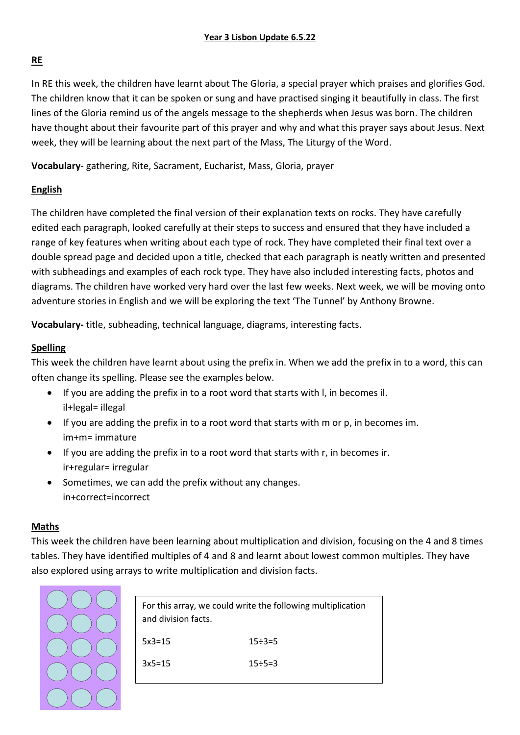## **RE**

In RE this week, the children have learnt about The Gloria, a special prayer which praises and glorifies God. The children know that it can be spoken or sung and have practised singing it beautifully in class. The first lines of the Gloria remind us of the angels message to the shepherds when Jesus was born. The children have thought about their favourite part of this prayer and why and what this prayer says about Jesus. Next week, they will be learning about the next part of the Mass, The Liturgy of the Word.

**Vocabulary**- gathering, Rite, Sacrament, Eucharist, Mass, Gloria, prayer

# **English**

The children have completed the final version of their explanation texts on rocks. They have carefully edited each paragraph, looked carefully at their steps to success and ensured that they have included a range of key features when writing about each type of rock. They have completed their final text over a double spread page and decided upon a title, checked that each paragraph is neatly written and presented with subheadings and examples of each rock type. They have also included interesting facts, photos and diagrams. The children have worked very hard over the last few weeks. Next week, we will be moving onto adventure stories in English and we will be exploring the text 'The Tunnel' by Anthony Browne.

**Vocabulary-** title, subheading, technical language, diagrams, interesting facts.

# **Spelling**

This week the children have learnt about using the prefix in. When we add the prefix in to a word, this can often change its spelling. Please see the examples below.

- If you are adding the prefix in to a root word that starts with l, in becomes il. il+legal= illegal
- If you are adding the prefix in to a root word that starts with m or p, in becomes im. im+m= immature
- If you are adding the prefix in to a root word that starts with r, in becomes ir. ir+regular= irregular
- Sometimes, we can add the prefix without any changes. in+correct=incorrect

## **Maths**

This week the children have been learning about multiplication and division, focusing on the 4 and 8 times tables. They have identified multiples of 4 and 8 and learnt about lowest common multiples. They have also explored using arrays to write multiplication and division facts.



| For this array, we could write the following multiplication<br>and division facts. |                 |
|------------------------------------------------------------------------------------|-----------------|
| $5x3=15$                                                                           | $15 \div 3 = 5$ |
| $3x5=15$                                                                           | $15 \div 5 = 3$ |